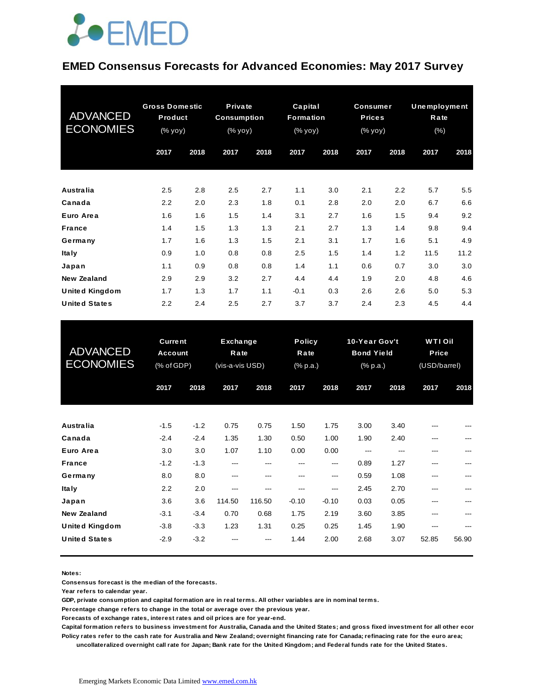## **JOEMED**

#### **EMED Consensus Forecasts for Advanced Economies: May 2017 Survey**

| <b>ADVANCED</b><br><b>ECONOMIES</b> | <b>Gross Domestic</b><br>Product<br>(% yoy) |      | Private<br><b>Consumption</b><br>$(\%$ yoy) |      | Capital<br><b>Formation</b><br>(% yoy) |      | <b>Consumer</b><br><b>Prices</b><br>(% yoy) |      | <b>Unemployment</b><br>Rate<br>$(\% )$ |      |
|-------------------------------------|---------------------------------------------|------|---------------------------------------------|------|----------------------------------------|------|---------------------------------------------|------|----------------------------------------|------|
|                                     | 2017                                        | 2018 | 2017                                        | 2018 | 2017                                   | 2018 | 2017                                        | 2018 | 2017                                   | 2018 |
| <b>Australia</b>                    | 2.5                                         | 2.8  | 2.5                                         | 2.7  | 1.1                                    | 3.0  | 2.1                                         | 2.2  | 5.7                                    | 5.5  |
| Canada                              | 2.2                                         | 2.0  | 2.3                                         | 1.8  | 0.1                                    | 2.8  | 2.0                                         | 2.0  | 6.7                                    | 6.6  |
| Euro Area                           | 1.6                                         | 1.6  | 1.5                                         | 1.4  | 3.1                                    | 2.7  | 1.6                                         | 1.5  | 9.4                                    | 9.2  |
| <b>France</b>                       | 1.4                                         | 1.5  | 1.3                                         | 1.3  | 2.1                                    | 2.7  | 1.3                                         | 1.4  | 9.8                                    | 9.4  |
| Germany                             | 1.7                                         | 1.6  | 1.3                                         | 1.5  | 2.1                                    | 3.1  | 1.7                                         | 1.6  | 5.1                                    | 4.9  |
| <b>Italy</b>                        | 0.9                                         | 1.0  | 0.8                                         | 0.8  | 2.5                                    | 1.5  | 1.4                                         | 1.2  | 11.5                                   | 11.2 |
| Japan                               | 1.1                                         | 0.9  | 0.8                                         | 0.8  | 1.4                                    | 1.1  | 0.6                                         | 0.7  | 3.0                                    | 3.0  |
| New Zealand                         | 2.9                                         | 2.9  | 3.2                                         | 2.7  | 4.4                                    | 4.4  | 1.9                                         | 2.0  | 4.8                                    | 4.6  |
| <b>United Kingdom</b>               | 1.7                                         | 1.3  | 1.7                                         | 1.1  | $-0.1$                                 | 0.3  | 2.6                                         | 2.6  | 5.0                                    | 5.3  |
| <b>United States</b>                | 2.2                                         | 2.4  | 2.5                                         | 2.7  | 3.7                                    | 3.7  | 2.4                                         | 2.3  | 4.5                                    | 4.4  |

| <b>United States</b>                | 2.2                                            | 2.4           | 2.5                                 | 2.7         | 3.7         | 3.7                               | 2.4          | 2.3                                            | 4.5        | 4.4                                     |  |
|-------------------------------------|------------------------------------------------|---------------|-------------------------------------|-------------|-------------|-----------------------------------|--------------|------------------------------------------------|------------|-----------------------------------------|--|
| <b>ADVANCED</b><br><b>ECONOMIES</b> | <b>Current</b><br><b>Account</b><br>(% of GDP) |               | Exchange<br>Rate<br>(vis-a-vis USD) |             |             | <b>Policy</b><br>Rate<br>(% p.a.) |              | 10-Year Gov't<br><b>Bond Yield</b><br>(% p.a.) |            | <b>WTI Oil</b><br>Price<br>(USD/barrel) |  |
|                                     | 2017                                           | 2018          | 2017                                | 2018        | 2017        | 2018                              | 2017         | 2018                                           | 2017       | 2018                                    |  |
| <b>Australia</b>                    | $-1.5$                                         | $-1.2$        | 0.75                                | 0.75        | 1.50        | 1.75                              | 3.00         | 3.40                                           |            |                                         |  |
| Canada                              | $-2.4$                                         | $-2.4$        | 1.35                                | 1.30        | 0.50        | 1.00                              | 1.90         | 2.40                                           | ---        |                                         |  |
| Euro Area<br><b>France</b>          | 3.0<br>$-1.2$                                  | 3.0<br>$-1.3$ | 1.07<br>---                         | 1.10<br>--- | 0.00<br>--- | 0.00<br>---                       | ---<br>0.89  | ---<br>1.27                                    | ---<br>--- |                                         |  |
| Germany<br><b>Italy</b>             | 8.0<br>2.2                                     | 8.0<br>2.0    | ---<br>---                          | ---<br>---  | ---<br>---  | ---<br>---                        | 0.59<br>2.45 | 1.08<br>2.70                                   | ---<br>--- | ---                                     |  |
| Japan                               | 3.6                                            | 3.6           | 114.50                              | 116.50      | $-0.10$     | $-0.10$                           | 0.03         | 0.05                                           | ---        |                                         |  |
| <b>New Zealand</b>                  | $-3.1$                                         | $-3.4$        | 0.70                                | 0.68        | 1.75        | 2.19                              | 3.60         | 3.85                                           | ---        |                                         |  |
| <b>United Kingdom</b>               | $-3.8$                                         | $-3.3$        | 1.23                                | 1.31        | 0.25        | 0.25                              | 1.45         | 1.90                                           | ---        |                                         |  |
| <b>United States</b>                | $-2.9$                                         | $-3.2$        |                                     |             | 1.44        | 2.00                              | 2.68         | 3.07                                           | 52.85      | 56.90                                   |  |

**Notes:** 

**Consensus forecast is the median of the forecasts.**

**Year refers to calendar year.**

**GDP, private consumption and capital formation are in real terms. All other variables are in nominal terms.**

**Percentage change refers to change in the total or average over the previous year.**

**Forecasts of exchange rates, interest rates and oil prices are for year-end.**

**Capital formation refers to business investment for Australia, Canada and the United States; and gross fixed investment for all other economies. Policy rates refer to the cash rate for Australia and New Zealand; overnight financing rate for Canada; refinacing rate for the euro area; uncollateralized overnight call rate for Japan; Bank rate for the United Kingdom; and Federal funds rate for the United States.**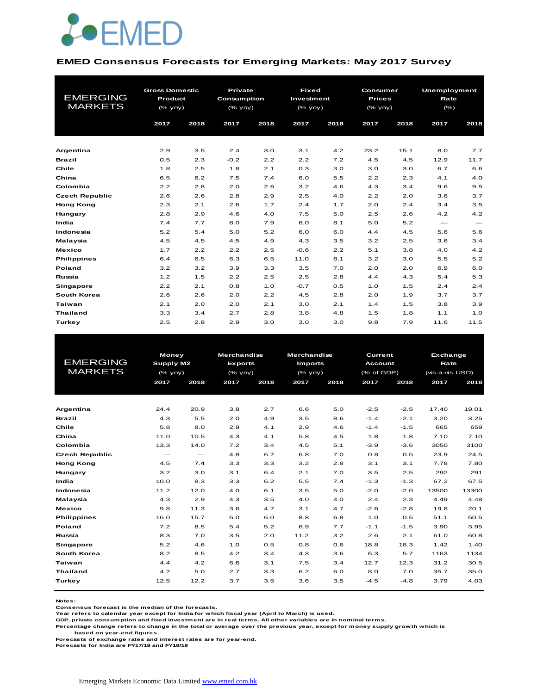

#### **EMED Consensus Forecasts for Emerging Markets: May 2017 Survey**

| <b>EMERGING</b><br><b>MARKETS</b> | <b>Gross Domestic</b><br>Product<br>$(%$ (% yoy)<br>2017 | 2018 | Private<br><b>Consumption</b><br>$(%$ (% yoy)<br>2017 | 2018 | <b>Fixed</b><br>Investment<br>$(%$ (% yoy)<br>2017 | 2018 | Consumer<br><b>Prices</b><br>(% yoy)<br>2017 | 2018 | <b>Unemployment</b><br>Rate<br>(% )<br>2017 | 2018  |
|-----------------------------------|----------------------------------------------------------|------|-------------------------------------------------------|------|----------------------------------------------------|------|----------------------------------------------|------|---------------------------------------------|-------|
| Argentina                         | 2.9                                                      | 3.5  | 2.4                                                   | 3.0  | 3.1                                                | 4.2  | 23.2                                         | 15.1 | 8.0                                         | 7.7   |
| <b>Brazil</b>                     | 0.5                                                      | 2.3  | $-0.2$                                                | 2.2  | 2.2                                                | 7.2  | 4.5                                          | 4.5  | 12.9                                        | 11.7  |
| Chile                             | 1.8                                                      | 2.5  | 1.8                                                   | 2.1  | 0.3                                                | 3.0  | 3.0                                          | 3.0  | 6.7                                         | 6.6   |
| China                             | 6.5                                                      | 6.2  | 7.5                                                   | 7.4  | 6.0                                                | 5.5  | 2.2                                          | 2.3  | 4.1                                         | 4.0   |
| Colombia                          | 2.2                                                      | 2.8  | 2.0                                                   | 2.6  | 3.2                                                | 4.6  | 4.3                                          | 3.4  | 9.6                                         | 9.5   |
| <b>Czech Republic</b>             | 2.6                                                      | 2.6  | 2.8                                                   | 2.9  | 2.5                                                | 4.0  | 2.2                                          | 2.0  | 3.6                                         | 3.7   |
| <b>Hong Kong</b>                  | 2.3                                                      | 2.1  | 2.6                                                   | 1.7  | 2.4                                                | 1.7  | 2.0                                          | 2.4  | 3.4                                         | 3.5   |
| Hungary                           | 2.8                                                      | 2.9  | 4.6                                                   | 4.0  | 7.5                                                | 5.0  | 2.5                                          | 2.6  | 4.2                                         | 4.2   |
| India                             | 7.4                                                      | 7.7  | 8.0                                                   | 7.9  | 6.0                                                | 8.1  | 5.0                                          | 5.2  | $\cdots$                                    | $---$ |
| Indonesia                         | 5.2                                                      | 5.4  | 5.0                                                   | 5.2  | 6.0                                                | 6.0  | 4.4                                          | 4.5  | 5.6                                         | 5.6   |
| Malaysia                          | 4.5                                                      | 4.5  | 4.5                                                   | 4.9  | 4.3                                                | 3.5  | 3.2                                          | 2.5  | 3.6                                         | 3.4   |
| <b>Mexico</b>                     | 1.7                                                      | 2.2  | 2.2                                                   | 2.5  | $-0.6$                                             | 2.2  | 5.1                                          | 3.8  | 4.0                                         | 4.2   |
| <b>Philippines</b>                | 6.4                                                      | 6.5  | 6.3                                                   | 6.5  | 11.0                                               | 8.1  | 3.2                                          | 3.0  | 5.5                                         | 5.2   |
| Poland                            | 3.2                                                      | 3.2  | 3.9                                                   | 3.3  | 3.5                                                | 7.0  | 2.0                                          | 2.0  | 6.9                                         | 6.0   |
| Russia                            | 1.2                                                      | 1.5  | 2.2                                                   | 2.5  | 2.5                                                | 2.8  | 4.4                                          | 4.3  | 5.4                                         | 5.3   |
| <b>Singapore</b>                  | 2.2                                                      | 2.1  | 0.8                                                   | 1.0  | $-0.7$                                             | 0.5  | 1.0                                          | 1.5  | 2.4                                         | 2.4   |
| South Korea                       | 2.6                                                      | 2.6  | 2.0                                                   | 2.2  | 4.5                                                | 2.8  | 2.0                                          | 1.9  | 3.7                                         | 3.7   |
| Taiwan                            | 2.1                                                      | 2.0  | 2.0                                                   | 2.1  | 3.0                                                | 2.1  | 1.4                                          | 1.5  | 3.8                                         | 3.9   |
| <b>Thailand</b>                   | 3.3                                                      | 3.4  | 2.7                                                   | 2.8  | 3.8                                                | 4.8  | 1.5                                          | 1.8  | 1.1                                         | 1.0   |
| Turkey                            | 2.5                                                      | 2.8  | 2.9                                                   | 3.0  | 3.0                                                | 3.0  | 9.8                                          | 7.9  | 11.6                                        | 11.5  |

|                       |              | <b>Money</b>      |                | <b>Merchandise</b> | <b>Merchandise</b> |      | <b>Current</b> |        | <b>Exchange</b> |       |  |
|-----------------------|--------------|-------------------|----------------|--------------------|--------------------|------|----------------|--------|-----------------|-------|--|
| <b>EMERGING</b>       | Supply M2    |                   | <b>Exports</b> |                    | <b>Imports</b>     |      | <b>Account</b> |        | Rate            |       |  |
| <b>MARKETS</b>        | $(%$ (% yoy) |                   | $(%$ (% yoy)   |                    | (% yoy)            |      | (% of GDP)     |        | (vis-a-vis USD) |       |  |
|                       | 2017         | 2018              | 2017           | 2018               | 2017               | 2018 | 2017           | 2018   | 2017            | 2018  |  |
|                       |              |                   |                |                    |                    |      |                |        |                 |       |  |
|                       |              |                   |                |                    |                    |      |                |        |                 |       |  |
| Argentina             | 24.4         | 20.9              | 3.8            | 2.7                | 6.6                | 5.0  | $-2.5$         | $-2.5$ | 17.40           | 19.01 |  |
| <b>Brazil</b>         | 4.3          | 5.5               | 2.0            | 4.9                | 3.5                | 8.6  | $-1.4$         | $-2.1$ | 3.20            | 3.25  |  |
| Chile                 | 5.8          | 8.0               | 2.9            | 4.1                | 2.9                | 4.6  | $-1.4$         | $-1.5$ | 665             | 659   |  |
| China                 | 11.0         | 10.5              | 4.3            | 4.1                | 5.8                | 4.5  | 1.8            | 1.8    | 7.10            | 7.10  |  |
| Colombia              | 13.3         | 14.0              | 7.2            | 3.4                | 4.5                | 5.1  | $-3.9$         | $-3.6$ | 3050            | 3100  |  |
| <b>Czech Republic</b> | $---$        | $\qquad \qquad -$ | 4.8            | 6.7                | 6.8                | 7.0  | 0.8            | 0.5    | 23.9            | 24.5  |  |
| <b>Hong Kong</b>      | 4.5          | 7.4               | 3.3            | 3.3                | 3.2                | 2.8  | 3.1            | 3.1    | 7.78            | 7.80  |  |
| Hungary               | 3.2          | 3.0               | 3.1            | 6.4                | 2.1                | 7.0  | 3.5            | 2.5    | 292             | 291   |  |
| India                 | 10.0         | 8.3               | 3.3            | 6.2                | 5.5                | 7.4  | $-1.3$         | $-1.3$ | 67.2            | 67.5  |  |
| Indonesia             | 11.2         | 12.0              | 4.0            | 6.1                | 3.5                | 5.0  | $-2.0$         | $-2.0$ | 13500           | 13300 |  |
| Malaysia              | 4.3          | 2.9               | 4.3            | 3.5                | 4.0                | 4.0  | 2.4            | 2.3    | 4.49            | 4.48  |  |
| <b>Mexico</b>         | 9.8          | 11.3              | 3.6            | 4.7                | 3.1                | 4.7  | $-2.6$         | $-2.8$ | 19.8            | 20.1  |  |
| <b>Philippines</b>    | 16.0         | 15.7              | 5.0            | 6.0                | 8.8                | 6.8  | 1.0            | 0.5    | 51.1            | 50.5  |  |
| Poland                | 7.2          | 8.5               | 5.4            | 5.2                | 6.9                | 7.7  | $-1.1$         | $-1.5$ | 3.90            | 3.95  |  |
| Russia                | 8.3          | 7.0               | 3.5            | 2.0                | 11.2               | 3.2  | 2.6            | 2.1    | 61.0            | 60.8  |  |
| <b>Singapore</b>      | 5.2          | 4.6               | 1.0            | 0.5                | 0.8                | 0.6  | 18.8           | 18.3   | 1.42            | 1.40  |  |
| South Korea           | 8.2          | 8.5               | 4.2            | 3.4                | 4.3                | 3.6  | 6.3            | 5.7    | 1163            | 1134  |  |
| Taiwan                | 4.4          | 4.2               | 6.6            | 3.1                | 7.5                | 3.4  | 12.7           | 12.3   | 31.2            | 30.5  |  |
| <b>Thailand</b>       | 4.2          | 5.0               | 2.7            | 3.3                | 6.2                | 6.0  | 8.0            | 7.0    | 35.7            | 35.0  |  |
| Turkey                | 12.5         | 12.2              | 3.7            | 3.5                | 3.6                | 3.5  | $-4.5$         | $-4.8$ | 3.79            | 4.03  |  |
|                       |              |                   |                |                    |                    |      |                |        |                 |       |  |

**Notes:** 

**Consensus forecast is the median of the forecasts. Year refers to calendar year except for India for which fiscal year (April to March) is used.**

**GDP, private consumption and fixed investment are in real terms. All other variables are in nominal terms.**

**Percentage change refers to change in the total or average over the previous year, except for money supply growth which is based on year-end figures.**

**Forecasts of exchange rates and interest rates are for year-end.**

**Forecasts for India are FY17/18 and FY18/19**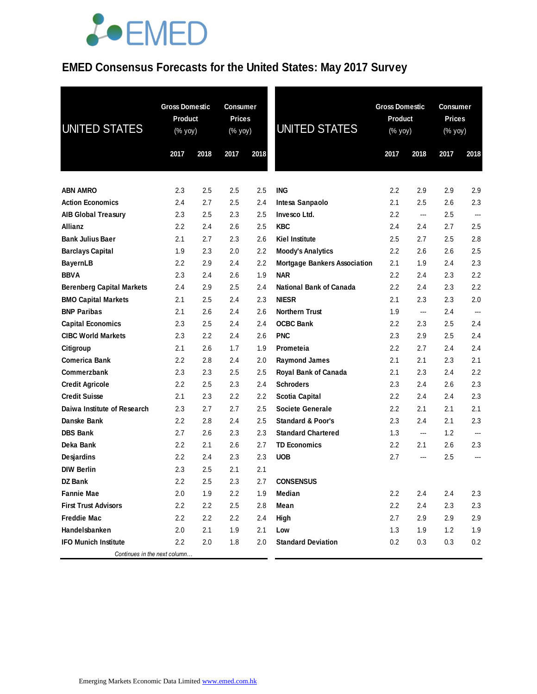# **JOEMED**

### **EMED Consensus Forecasts for the United States: May 2017 Survey**

| UNITED STATES                    | <b>Gross Domestic</b><br><b>Product</b><br>(% yoy)<br>2017 | 2018    | <b>Consumer</b><br><b>Prices</b><br>(% yoy)<br>2017 | 2018 | <b>UNITED STATES</b>                | <b>Gross Domestic</b><br><b>Product</b><br>(% yoy)<br>2017<br>2018 |                          | <b>Consumer</b><br><b>Prices</b><br>(% yoy) |                          |
|----------------------------------|------------------------------------------------------------|---------|-----------------------------------------------------|------|-------------------------------------|--------------------------------------------------------------------|--------------------------|---------------------------------------------|--------------------------|
|                                  |                                                            |         |                                                     |      |                                     |                                                                    |                          | 2017                                        | 2018                     |
| <b>ABN AMRO</b>                  | 2.3                                                        | 2.5     | 2.5                                                 | 2.5  | <b>ING</b>                          | 2.2                                                                | 2.9                      | 2.9                                         | 2.9                      |
| <b>Action Economics</b>          | 2.4                                                        | 2.7     | 2.5                                                 | 2.4  | Intesa Sanpaolo                     | 2.1                                                                | 2.5                      | 2.6                                         | 2.3                      |
| <b>AIB Global Treasury</b>       | 2.3                                                        | 2.5     | 2.3                                                 | 2.5  | Invesco Ltd.                        | 2.2                                                                | ---                      | 2.5                                         | ---                      |
| <b>Allianz</b>                   | 2.2                                                        | 2.4     | 2.6                                                 | 2.5  | <b>KBC</b>                          | 2.4                                                                | 2.4                      | 2.7                                         | 2.5                      |
| <b>Bank Julius Baer</b>          | 2.1                                                        | 2.7     | 2.3                                                 | 2.6  | <b>Kiel Institute</b>               | 2.5                                                                | 2.7                      | 2.5                                         | 2.8                      |
| <b>Barclays Capital</b>          | 1.9                                                        | 2.3     | 2.0                                                 | 2.2  | <b>Moody's Analytics</b>            | 2.2                                                                | 2.6                      | 2.6                                         | 2.5                      |
| <b>BayernLB</b>                  | $2.2\,$                                                    | 2.9     | 2.4                                                 | 2.2  | <b>Mortgage Bankers Association</b> | 2.1                                                                | 1.9                      | 2.4                                         | 2.3                      |
| <b>BBVA</b>                      | 2.3                                                        | 2.4     | 2.6                                                 | 1.9  | <b>NAR</b>                          | $2.2\,$                                                            | 2.4                      | 2.3                                         | 2.2                      |
| <b>Berenberg Capital Markets</b> | 2.4                                                        | 2.9     | 2.5                                                 | 2.4  | <b>National Bank of Canada</b>      | 2.2                                                                | 2.4                      | 2.3                                         | 2.2                      |
| <b>BMO Capital Markets</b>       | 2.1                                                        | 2.5     | 2.4                                                 | 2.3  | <b>NIESR</b>                        | 2.1                                                                | 2.3                      | 2.3                                         | 2.0                      |
| <b>BNP Paribas</b>               | 2.1                                                        | 2.6     | 2.4                                                 | 2.6  | <b>Northern Trust</b>               | 1.9                                                                | $\overline{\phantom{a}}$ | 2.4                                         | $\overline{\phantom{a}}$ |
| <b>Capital Economics</b>         | 2.3                                                        | 2.5     | 2.4                                                 | 2.4  | <b>OCBC Bank</b>                    | $2.2\,$                                                            | 2.3                      | 2.5                                         | 2.4                      |
| <b>CIBC World Markets</b>        | 2.3                                                        | $2.2\,$ | 2.4                                                 | 2.6  | <b>PNC</b>                          | $2.3\,$                                                            | 2.9                      | 2.5                                         | 2.4                      |
| Citigroup                        | 2.1                                                        | 2.6     | 1.7                                                 | 1.9  | Prometeia                           | 2.2                                                                | 2.7                      | 2.4                                         | 2.4                      |
| <b>Comerica Bank</b>             | 2.2                                                        | 2.8     | 2.4                                                 | 2.0  | <b>Raymond James</b>                | 2.1                                                                | 2.1                      | 2.3                                         | 2.1                      |
| Commerzbank                      | 2.3                                                        | 2.3     | 2.5                                                 | 2.5  | Royal Bank of Canada                | 2.1                                                                | 2.3                      | 2.4                                         | 2.2                      |
| <b>Credit Agricole</b>           | 2.2                                                        | 2.5     | 2.3                                                 | 2.4  | <b>Schroders</b>                    | 2.3                                                                | 2.4                      | 2.6                                         | 2.3                      |
| <b>Credit Suisse</b>             | 2.1                                                        | 2.3     | 2.2                                                 | 2.2  | Scotia Capital                      | $2.2\,$                                                            | 2.4                      | 2.4                                         | 2.3                      |
| Daiwa Institute of Research      | 2.3                                                        | 2.7     | 2.7                                                 | 2.5  | Societe Generale                    | $2.2\,$                                                            | 2.1                      | 2.1                                         | 2.1                      |
| Danske Bank                      | 2.2                                                        | 2.8     | 2.4                                                 | 2.5  | <b>Standard &amp; Poor's</b>        | $2.3\,$                                                            | 2.4                      | 2.1                                         | 2.3                      |
| <b>DBS Bank</b>                  | 2.7                                                        | 2.6     | 2.3                                                 | 2.3  | <b>Standard Chartered</b>           | 1.3                                                                | $---$                    | 1.2                                         | ---                      |
| Deka Bank                        | 2.2                                                        | 2.1     | 2.6                                                 | 2.7  | <b>TD Economics</b>                 | 2.2                                                                | 2.1                      | 2.6                                         | 2.3                      |
| Desjardins                       | 2.2                                                        | 2.4     | 2.3                                                 | 2.3  | <b>UOB</b>                          | 2.7                                                                | ---                      | 2.5                                         | $---$                    |
| <b>DIW Berlin</b>                | 2.3                                                        | 2.5     | 2.1                                                 | 2.1  |                                     |                                                                    |                          |                                             |                          |
| DZ Bank                          | 2.2                                                        | 2.5     | 2.3                                                 | 2.7  | <b>CONSENSUS</b>                    |                                                                    |                          |                                             |                          |
| <b>Fannie Mae</b>                | 2.0                                                        | 1.9     | 2.2                                                 | 1.9  | Median                              | 2.2                                                                | 2.4                      | 2.4                                         | 2.3                      |
| <b>First Trust Advisors</b>      | 2.2                                                        | 2.2     | 2.5                                                 | 2.8  | Mean                                | 2.2                                                                | 2.4                      | 2.3                                         | 2.3                      |
| <b>Freddie Mac</b>               | 2.2                                                        | 2.2     | 2.2                                                 | 2.4  | High                                | 2.7                                                                | 2.9                      | 2.9                                         | 2.9                      |
| Handelsbanken                    | 2.0                                                        | 2.1     | 1.9                                                 | 2.1  | Low                                 | 1.3                                                                | 1.9                      | 1.2                                         | 1.9                      |
| <b>IFO Munich Institute</b>      | $2.2\phantom{0}$                                           | 2.0     | 1.8                                                 | 2.0  | <b>Standard Deviation</b>           | 0.2                                                                | 0.3                      | 0.3                                         | 0.2                      |
| Continues in the next column     |                                                            |         |                                                     |      |                                     |                                                                    |                          |                                             |                          |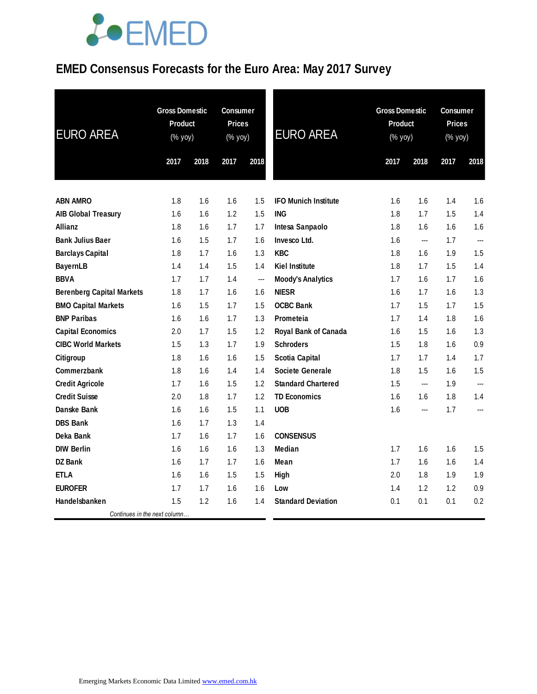# **JOEMED**

### **EMED Consensus Forecasts for the Euro Area: May 2017 Survey**

| <b>EURO AREA</b>                 | <b>Gross Domestic</b><br><b>Product</b><br>(% yoy) |      | Consumer<br><b>Prices</b><br>(% yoy) |      | <b>EURO AREA</b>            |      | <b>Gross Domestic</b><br><b>Product</b><br>(% yoy) |      | <b>Consumer</b><br><b>Prices</b><br>(% yoy) |  |
|----------------------------------|----------------------------------------------------|------|--------------------------------------|------|-----------------------------|------|----------------------------------------------------|------|---------------------------------------------|--|
|                                  | 2017                                               | 2018 | 2017                                 | 2018 |                             | 2017 | 2018                                               | 2017 | 2018                                        |  |
| <b>ABN AMRO</b>                  | 1.8                                                | 1.6  | 1.6                                  | 1.5  | <b>IFO Munich Institute</b> | 1.6  | 1.6                                                | 1.4  | 1.6                                         |  |
| <b>AIB Global Treasury</b>       | 1.6                                                | 1.6  | 1.2                                  | 1.5  | <b>ING</b>                  | 1.8  | 1.7                                                | 1.5  | 1.4                                         |  |
| Allianz                          | 1.8                                                | 1.6  | 1.7                                  | 1.7  | Intesa Sanpaolo             | 1.8  | 1.6                                                | 1.6  | 1.6                                         |  |
| <b>Bank Julius Baer</b>          | 1.6                                                | 1.5  | 1.7                                  | 1.6  | Invesco Ltd.                | 1.6  | $\overline{\phantom{a}}$                           | 1.7  | ---                                         |  |
| <b>Barclays Capital</b>          | 1.8                                                | 1.7  | 1.6                                  | 1.3  | <b>KBC</b>                  | 1.8  | 1.6                                                | 1.9  | 1.5                                         |  |
| <b>BayernLB</b>                  | 1.4                                                | 1.4  | 1.5                                  | 1.4  | <b>Kiel Institute</b>       | 1.8  | 1.7                                                | 1.5  | 1.4                                         |  |
| <b>BBVA</b>                      | 1.7                                                | 1.7  | 1.4                                  | ---  | <b>Moody's Analytics</b>    | 1.7  | 1.6                                                | 1.7  | 1.6                                         |  |
| <b>Berenberg Capital Markets</b> | 1.8                                                | 1.7  | 1.6                                  | 1.6  | <b>NIESR</b>                | 1.6  | 1.7                                                | 1.6  | 1.3                                         |  |
| <b>BMO Capital Markets</b>       | 1.6                                                | 1.5  | 1.7                                  | 1.5  | <b>OCBC Bank</b>            | 1.7  | 1.5                                                | 1.7  | 1.5                                         |  |
| <b>BNP Paribas</b>               | 1.6                                                | 1.6  | 1.7                                  | 1.3  | Prometeia                   | 1.7  | 1.4                                                | 1.8  | 1.6                                         |  |
| <b>Capital Economics</b>         | 2.0                                                | 1.7  | 1.5                                  | 1.2  | Royal Bank of Canada        | 1.6  | 1.5                                                | 1.6  | 1.3                                         |  |
| <b>CIBC World Markets</b>        | 1.5                                                | 1.3  | 1.7                                  | 1.9  | <b>Schroders</b>            | 1.5  | 1.8                                                | 1.6  | 0.9                                         |  |
| Citigroup                        | 1.8                                                | 1.6  | 1.6                                  | 1.5  | <b>Scotia Capital</b>       | 1.7  | 1.7                                                | 1.4  | 1.7                                         |  |
| Commerzbank                      | 1.8                                                | 1.6  | 1.4                                  | 1.4  | <b>Societe Generale</b>     | 1.8  | 1.5                                                | 1.6  | 1.5                                         |  |
| <b>Credit Agricole</b>           | 1.7                                                | 1.6  | 1.5                                  | 1.2  | <b>Standard Chartered</b>   | 1.5  | $\overline{a}$                                     | 1.9  |                                             |  |
| <b>Credit Suisse</b>             | 2.0                                                | 1.8  | 1.7                                  | 1.2  | <b>TD Economics</b>         | 1.6  | 1.6                                                | 1.8  | 1.4                                         |  |
| <b>Danske Bank</b>               | 1.6                                                | 1.6  | 1.5                                  | 1.1  | <b>UOB</b>                  | 1.6  | ---                                                | 1.7  | ---                                         |  |
| <b>DBS Bank</b>                  | 1.6                                                | 1.7  | 1.3                                  | 1.4  |                             |      |                                                    |      |                                             |  |
| Deka Bank                        | 1.7                                                | 1.6  | 1.7                                  | 1.6  | <b>CONSENSUS</b>            |      |                                                    |      |                                             |  |
| <b>DIW Berlin</b>                | 1.6                                                | 1.6  | 1.6                                  | 1.3  | Median                      | 1.7  | 1.6                                                | 1.6  | 1.5                                         |  |
| DZ Bank                          | 1.6                                                | 1.7  | 1.7                                  | 1.6  | Mean                        | 1.7  | 1.6                                                | 1.6  | 1.4                                         |  |
| <b>ETLA</b>                      | 1.6                                                | 1.6  | 1.5                                  | 1.5  | High                        | 2.0  | 1.8                                                | 1.9  | 1.9                                         |  |
| <b>EUROFER</b>                   | 1.7                                                | 1.7  | 1.6                                  | 1.6  | Low                         | 1.4  | 1.2                                                | 1.2  | 0.9                                         |  |
| Handelsbanken                    | 1.5                                                | 1.2  | 1.6                                  | 1.4  | <b>Standard Deviation</b>   | 0.1  | 0.1                                                | 0.1  | 0.2                                         |  |
| Continues in the next column     |                                                    |      |                                      |      |                             |      |                                                    |      |                                             |  |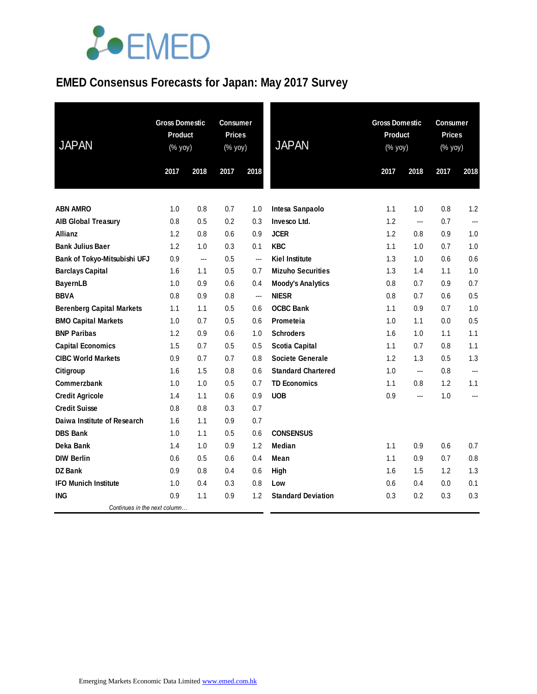

### **EMED Consensus Forecasts for Japan: May 2017 Survey**

| <b>JAPAN</b>                     | <b>Gross Domestic</b><br>Product<br>(% yoy) |      | <b>Consumer</b><br><b>Prices</b><br>(% yoy) |                | <b>JAPAN</b>              | <b>Gross Domestic</b><br><b>Product</b><br>$(% \mathsf{Y}\rightarrow \mathsf{Y})$ |                | <b>Consumer</b><br><b>Prices</b><br>(% yoy) |                |
|----------------------------------|---------------------------------------------|------|---------------------------------------------|----------------|---------------------------|-----------------------------------------------------------------------------------|----------------|---------------------------------------------|----------------|
|                                  | 2017                                        | 2018 | 2017                                        | 2018           |                           | 2017                                                                              | 2018           | 2017                                        | 2018           |
|                                  |                                             |      |                                             |                |                           |                                                                                   |                |                                             |                |
| <b>ABN AMRO</b>                  | 1.0                                         | 0.8  | 0.7                                         | 1.0            | Intesa Sanpaolo           | 1.1                                                                               | 1.0            | 0.8                                         | 1.2            |
| <b>AIB Global Treasury</b>       | 0.8                                         | 0.5  | 0.2                                         | 0.3            | Invesco Ltd.              | 1.2                                                                               | ---            | 0.7                                         | $\overline{a}$ |
| Allianz                          | 1.2                                         | 0.8  | 0.6                                         | 0.9            | <b>JCER</b>               | 1.2                                                                               | 0.8            | 0.9                                         | 1.0            |
| <b>Bank Julius Baer</b>          | 1.2                                         | 1.0  | 0.3                                         | 0.1            | <b>KBC</b>                | 1.1                                                                               | 1.0            | 0.7                                         | 1.0            |
| Bank of Tokyo-Mitsubishi UFJ     | 0.9                                         | ---  | 0.5                                         | $\overline{a}$ | <b>Kiel Institute</b>     | 1.3                                                                               | 1.0            | 0.6                                         | 0.6            |
| <b>Barclays Capital</b>          | 1.6                                         | 1.1  | 0.5                                         | 0.7            | <b>Mizuho Securities</b>  | 1.3                                                                               | 1.4            | 1.1                                         | 1.0            |
| <b>BayernLB</b>                  | 1.0                                         | 0.9  | 0.6                                         | 0.4            | <b>Moody's Analytics</b>  | 0.8                                                                               | 0.7            | 0.9                                         | 0.7            |
| <b>BBVA</b>                      | 0.8                                         | 0.9  | 0.8                                         | ---            | <b>NIESR</b>              | 0.8                                                                               | 0.7            | 0.6                                         | 0.5            |
| <b>Berenberg Capital Markets</b> | 1.1                                         | 1.1  | 0.5                                         | 0.6            | <b>OCBC Bank</b>          | 1.1                                                                               | 0.9            | 0.7                                         | 1.0            |
| <b>BMO Capital Markets</b>       | 1.0                                         | 0.7  | 0.5                                         | 0.6            | Prometeia                 | 1.0                                                                               | 1.1            | 0.0                                         | 0.5            |
| <b>BNP Paribas</b>               | 1.2                                         | 0.9  | 0.6                                         | 1.0            | <b>Schroders</b>          | 1.6                                                                               | 1.0            | 1.1                                         | 1.1            |
| <b>Capital Economics</b>         | 1.5                                         | 0.7  | 0.5                                         | 0.5            | <b>Scotia Capital</b>     | 1.1                                                                               | 0.7            | 0.8                                         | 1.1            |
| <b>CIBC World Markets</b>        | 0.9                                         | 0.7  | 0.7                                         | 0.8            | <b>Societe Generale</b>   | 1.2                                                                               | 1.3            | 0.5                                         | 1.3            |
| Citigroup                        | 1.6                                         | 1.5  | 0.8                                         | 0.6            | <b>Standard Chartered</b> | 1.0                                                                               | $\overline{a}$ | 0.8                                         | $\overline{a}$ |
| Commerzbank                      | 1.0                                         | 1.0  | 0.5                                         | 0.7            | <b>TD Economics</b>       | 1.1                                                                               | 0.8            | 1.2                                         | 1.1            |
| <b>Credit Agricole</b>           | 1.4                                         | 1.1  | 0.6                                         | 0.9            | <b>UOB</b>                | 0.9                                                                               | ---            | 1.0                                         | ---            |
| <b>Credit Suisse</b>             | 0.8                                         | 0.8  | 0.3                                         | 0.7            |                           |                                                                                   |                |                                             |                |
| Daiwa Institute of Research      | 1.6                                         | 1.1  | 0.9                                         | 0.7            |                           |                                                                                   |                |                                             |                |
| <b>DBS Bank</b>                  | 1.0                                         | 1.1  | 0.5                                         | 0.6            | <b>CONSENSUS</b>          |                                                                                   |                |                                             |                |
| Deka Bank                        | 1.4                                         | 1.0  | 0.9                                         | 1.2            | Median                    | 1.1                                                                               | 0.9            | 0.6                                         | 0.7            |
| <b>DIW Berlin</b>                | 0.6                                         | 0.5  | 0.6                                         | 0.4            | Mean                      | 1.1                                                                               | 0.9            | 0.7                                         | 0.8            |
| <b>DZ</b> Bank                   | 0.9                                         | 0.8  | 0.4                                         | 0.6            | High                      | 1.6                                                                               | 1.5            | 1.2                                         | 1.3            |
| <b>IFO Munich Institute</b>      | 1.0                                         | 0.4  | 0.3                                         | 0.8            | Low                       | 0.6                                                                               | 0.4            | 0.0                                         | 0.1            |
| <b>ING</b>                       | 0.9                                         | 1.1  | 0.9                                         | 1.2            | <b>Standard Deviation</b> | 0.3                                                                               | 0.2            | 0.3                                         | 0.3            |
| Continues in the next column     |                                             |      |                                             |                |                           |                                                                                   |                |                                             |                |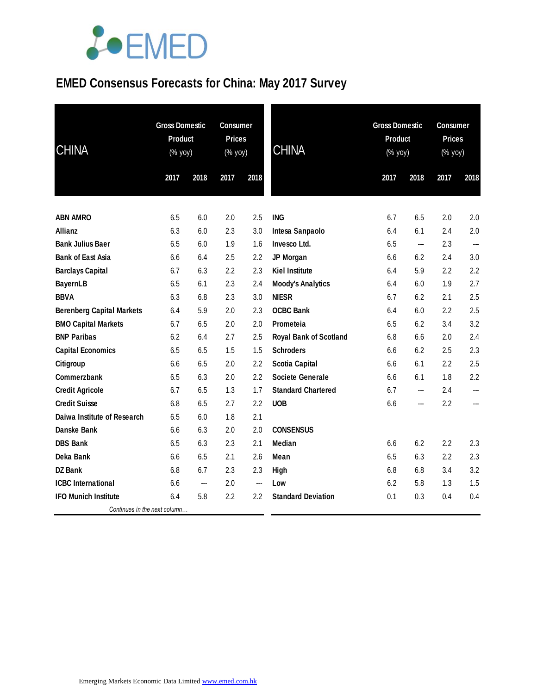

### **EMED Consensus Forecasts for China: May 2017 Survey**

| <b>CHINA</b>                     | <b>Gross Domestic</b><br>Product<br>(% yoy) |      | <b>Consumer</b><br><b>Prices</b><br>(% yoy) |      | <b>CHINA</b>                  | <b>Gross Domestic</b><br>Product<br>(% yoy) |      | <b>Consumer</b><br><b>Prices</b><br>(% yoy) |      |
|----------------------------------|---------------------------------------------|------|---------------------------------------------|------|-------------------------------|---------------------------------------------|------|---------------------------------------------|------|
|                                  | 2017                                        | 2018 | 2017                                        | 2018 |                               | 2017                                        | 2018 | 2017                                        | 2018 |
| <b>ABN AMRO</b>                  | 6.5                                         | 6.0  | 2.0                                         | 2.5  | <b>ING</b>                    | 6.7                                         | 6.5  | 2.0                                         | 2.0  |
| <b>Allianz</b>                   | 6.3                                         | 6.0  | 2.3                                         | 3.0  | Intesa Sanpaolo               | 6.4                                         | 6.1  | 2.4                                         | 2.0  |
| <b>Bank Julius Baer</b>          | 6.5                                         | 6.0  | 1.9                                         | 1.6  | Invesco Ltd.                  | 6.5                                         | ---  | 2.3                                         | ---  |
| <b>Bank of East Asia</b>         | 6.6                                         | 6.4  | 2.5                                         | 2.2  | JP Morgan                     | 6.6                                         | 6.2  | 2.4                                         | 3.0  |
| <b>Barclays Capital</b>          | 6.7                                         | 6.3  | 2.2                                         | 2.3  | <b>Kiel Institute</b>         | 6.4                                         | 5.9  | 2.2                                         | 2.2  |
| <b>BayernLB</b>                  | 6.5                                         | 6.1  | 2.3                                         | 2.4  | <b>Moody's Analytics</b>      | 6.4                                         | 6.0  | 1.9                                         | 2.7  |
| <b>BBVA</b>                      | 6.3                                         | 6.8  | 2.3                                         | 3.0  | <b>NIESR</b>                  | 6.7                                         | 6.2  | 2.1                                         | 2.5  |
| <b>Berenberg Capital Markets</b> | 6.4                                         | 5.9  | 2.0                                         | 2.3  | <b>OCBC Bank</b>              | 6.4                                         | 6.0  | 2.2                                         | 2.5  |
| <b>BMO Capital Markets</b>       | 6.7                                         | 6.5  | 2.0                                         | 2.0  | Prometeia                     | 6.5                                         | 6.2  | 3.4                                         | 3.2  |
| <b>BNP Paribas</b>               | 6.2                                         | 6.4  | 2.7                                         | 2.5  | <b>Royal Bank of Scotland</b> | 6.8                                         | 6.6  | 2.0                                         | 2.4  |
| <b>Capital Economics</b>         | 6.5                                         | 6.5  | 1.5                                         | 1.5  | <b>Schroders</b>              | 6.6                                         | 6.2  | 2.5                                         | 2.3  |
| Citigroup                        | 6.6                                         | 6.5  | 2.0                                         | 2.2  | <b>Scotia Capital</b>         | 6.6                                         | 6.1  | 2.2                                         | 2.5  |
| Commerzbank                      | 6.5                                         | 6.3  | 2.0                                         | 2.2  | <b>Societe Generale</b>       | 6.6                                         | 6.1  | 1.8                                         | 2.2  |
| <b>Credit Agricole</b>           | 6.7                                         | 6.5  | 1.3                                         | 1.7  | <b>Standard Chartered</b>     | 6.7                                         | ---  | 2.4                                         |      |
| <b>Credit Suisse</b>             | 6.8                                         | 6.5  | 2.7                                         | 2.2  | <b>UOB</b>                    | 6.6                                         | ---  | 2.2                                         |      |
| Daiwa Institute of Research      | 6.5                                         | 6.0  | 1.8                                         | 2.1  |                               |                                             |      |                                             |      |
| Danske Bank                      | 6.6                                         | 6.3  | 2.0                                         | 2.0  | <b>CONSENSUS</b>              |                                             |      |                                             |      |
| <b>DBS Bank</b>                  | 6.5                                         | 6.3  | 2.3                                         | 2.1  | <b>Median</b>                 | 6.6                                         | 6.2  | 2.2                                         | 2.3  |
| Deka Bank                        | 6.6                                         | 6.5  | 2.1                                         | 2.6  | Mean                          | 6.5                                         | 6.3  | 2.2                                         | 2.3  |
| <b>DZ Bank</b>                   | 6.8                                         | 6.7  | 2.3                                         | 2.3  | High                          | 6.8                                         | 6.8  | 3.4                                         | 3.2  |
| <b>ICBC</b> International        | 6.6                                         | ---  | 2.0                                         | ---  | Low                           | 6.2                                         | 5.8  | 1.3                                         | 1.5  |
| <b>IFO Munich Institute</b>      | 6.4                                         | 5.8  | 2.2                                         | 2.2  | <b>Standard Deviation</b>     | 0.1                                         | 0.3  | 0.4                                         | 0.4  |
| Continues in the next column     |                                             |      |                                             |      |                               |                                             |      |                                             |      |